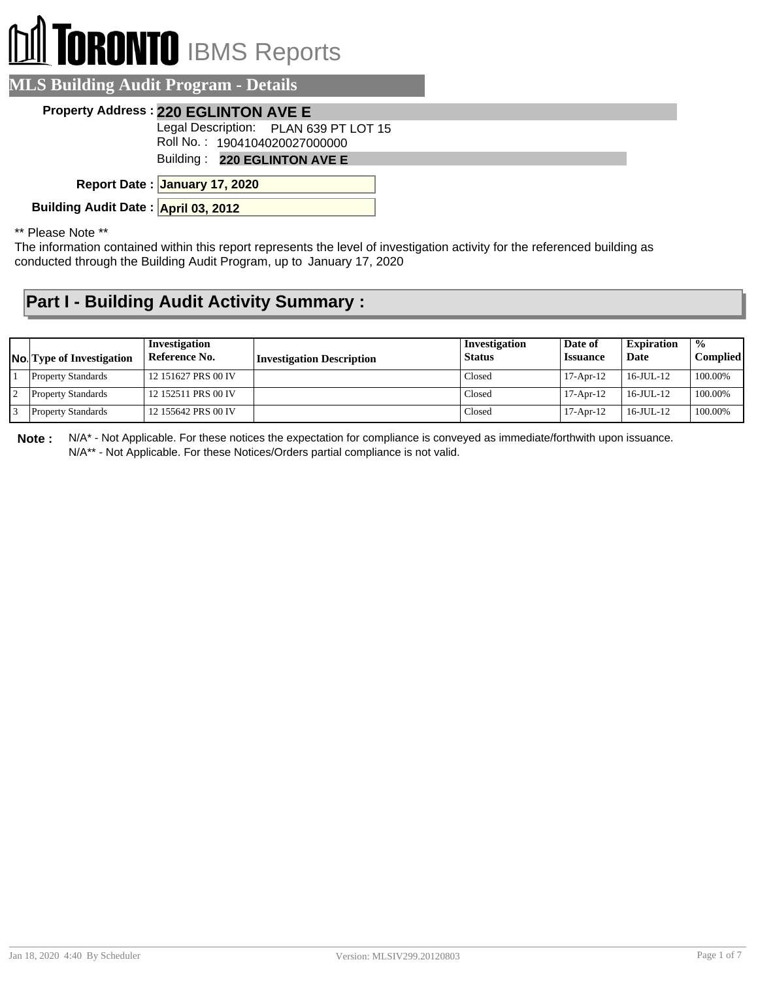## **DI** TORONTO IBMS Reports

| <b>MLS Building Audit Program - Details</b>                            |  |
|------------------------------------------------------------------------|--|
| Property Address: 220 EGLINTON AVE E                                   |  |
| Legal Description: PLAN 639 PT LOT 15<br>Roll No.: 1904104020027000000 |  |
| Building: 220 EGLINTON AVE E                                           |  |
| Report Date: January 17, 2020                                          |  |
| Building Audit Date: April 03, 2012                                    |  |
|                                                                        |  |

\*\* Please Note \*\*

The information contained within this report represents the level of investigation activity for the referenced building as conducted through the Building Audit Program, up to January 17, 2020

## **Part I - Building Audit Activity Summary :**

| <b>No.</b> Type of Investigation | Investigation<br>Reference No. | <b>Investigation Description</b> | Investigation<br><b>Status</b> | Date of<br><i><b>Issuance</b></i> | <b>Expiration</b><br>Date | $\frac{0}{0}$<br>Complied |
|----------------------------------|--------------------------------|----------------------------------|--------------------------------|-----------------------------------|---------------------------|---------------------------|
| <b>Property Standards</b>        | 12 151627 PRS 00 IV            |                                  | Closed                         | $17-Apr-12$                       | $16$ -JUL- $12$           | 100.00%                   |
| <b>Property Standards</b>        | 12 152511 PRS 00 IV            |                                  | Closed                         | $17-Apr-12$                       | $16 - JUII - 12$          | 100.00%                   |
| <b>Property Standards</b>        | 12 155642 PRS 00 IV            |                                  | Closed                         | $17-Apr-12$                       | $16$ -JUL- $12$           | 100.00%                   |

**Note :** N/A\* - Not Applicable. For these notices the expectation for compliance is conveyed as immediate/forthwith upon issuance. N/A\*\* - Not Applicable. For these Notices/Orders partial compliance is not valid.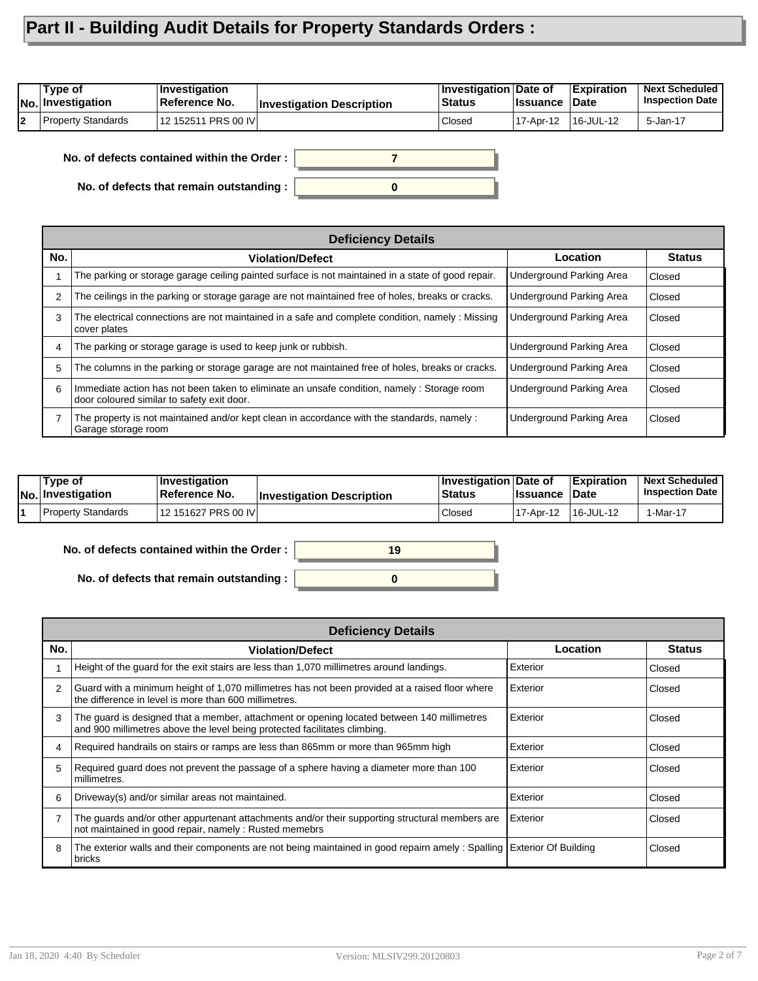## **Part II - Building Audit Details for Property Standards Orders :**

| 'Type of<br> No. Investigation | ∣Investiqation<br>Reference No. | <b>Investigation Description</b> | <b>Investigation Date of</b><br><b>Status</b> | <b>I</b> ssuance | <b>Expiration</b><br>∣Date | <b>Next Scheduled</b><br><b>Inspection Date</b> |
|--------------------------------|---------------------------------|----------------------------------|-----------------------------------------------|------------------|----------------------------|-------------------------------------------------|
| Property Standards             | 12 152511 PRS 00 IV             |                                  | Closed                                        | 17-Apr-12        | 16-JUL-12                  | 5-Jan-17                                        |

**No. of defects contained within the Order :**

**No. of defects that remain outstanding :**

|                | <b>Deficiency Details</b>                                                                                                                |                                 |               |  |  |  |  |
|----------------|------------------------------------------------------------------------------------------------------------------------------------------|---------------------------------|---------------|--|--|--|--|
| No.            | <b>Violation/Defect</b>                                                                                                                  | Location                        | <b>Status</b> |  |  |  |  |
|                | The parking or storage garage ceiling painted surface is not maintained in a state of good repair.                                       | <b>Underground Parking Area</b> | Closed        |  |  |  |  |
| $\overline{2}$ | The ceilings in the parking or storage garage are not maintained free of holes, breaks or cracks.                                        | Underground Parking Area        | Closed        |  |  |  |  |
| 3              | The electrical connections are not maintained in a safe and complete condition, namely : Missing<br>cover plates                         | Underground Parking Area        | Closed        |  |  |  |  |
| 4              | The parking or storage garage is used to keep junk or rubbish.                                                                           | Underground Parking Area        | Closed        |  |  |  |  |
| 5              | The columns in the parking or storage garage are not maintained free of holes, breaks or cracks.                                         | Underground Parking Area        | Closed        |  |  |  |  |
| 6              | Immediate action has not been taken to eliminate an unsafe condition, namely: Storage room<br>door coloured similar to safety exit door. | Underground Parking Area        | Closed        |  |  |  |  |
| 7              | The property is not maintained and/or kept clean in accordance with the standards, namely :<br>Garage storage room                       | Underground Parking Area        | Closed        |  |  |  |  |

| Type of<br>No. Investigation | ∣Investiqation<br>Reference No. | <b>Investigation Description</b> | <b>Investigation Date of</b><br><b>Status</b> | <b>Issuance</b> | <b>Expiration</b><br>∣Date | <b>Next Scheduled</b><br><b>Inspection Date</b> |
|------------------------------|---------------------------------|----------------------------------|-----------------------------------------------|-----------------|----------------------------|-------------------------------------------------|
| <b>Property Standards</b>    | 12 151627 PRS 00 IVI            |                                  | Closed                                        | 17-Apr-12       | '16-JUL-12                 | 1-Mar-17                                        |

**0**

**19**

**No. of defects contained within the Order :**

**No. of defects that remain outstanding :**

| <b>Deficiency Details</b> |                                                                                                                                                                         |          |               |  |  |  |
|---------------------------|-------------------------------------------------------------------------------------------------------------------------------------------------------------------------|----------|---------------|--|--|--|
| No.                       | <b>Violation/Defect</b>                                                                                                                                                 | Location | <b>Status</b> |  |  |  |
|                           | Height of the guard for the exit stairs are less than 1,070 millimetres around landings.                                                                                | Exterior | Closed        |  |  |  |
| 2                         | Guard with a minimum height of 1,070 millimetres has not been provided at a raised floor where<br>the difference in level is more than 600 millimetres.                 | Exterior | Closed        |  |  |  |
| 3                         | The guard is designed that a member, attachment or opening located between 140 millimetres<br>and 900 millimetres above the level being protected facilitates climbing. | Exterior | Closed        |  |  |  |
|                           | Required handrails on stairs or ramps are less than 865mm or more than 965mm high                                                                                       | Exterior | Closed        |  |  |  |
| 5                         | Required guard does not prevent the passage of a sphere having a diameter more than 100<br>millimetres.                                                                 | Exterior | Closed        |  |  |  |
| 6                         | Driveway(s) and/or similar areas not maintained.                                                                                                                        | Exterior | Closed        |  |  |  |
|                           | The guards and/or other appurtenant attachments and/or their supporting structural members are<br>not maintained in good repair, namely: Rusted memebrs                 | Exterior | Closed        |  |  |  |
| 8                         | The exterior walls and their components are not being maintained in good repairn amely: Spalling Exterior Of Building<br>bricks                                         |          | Closed        |  |  |  |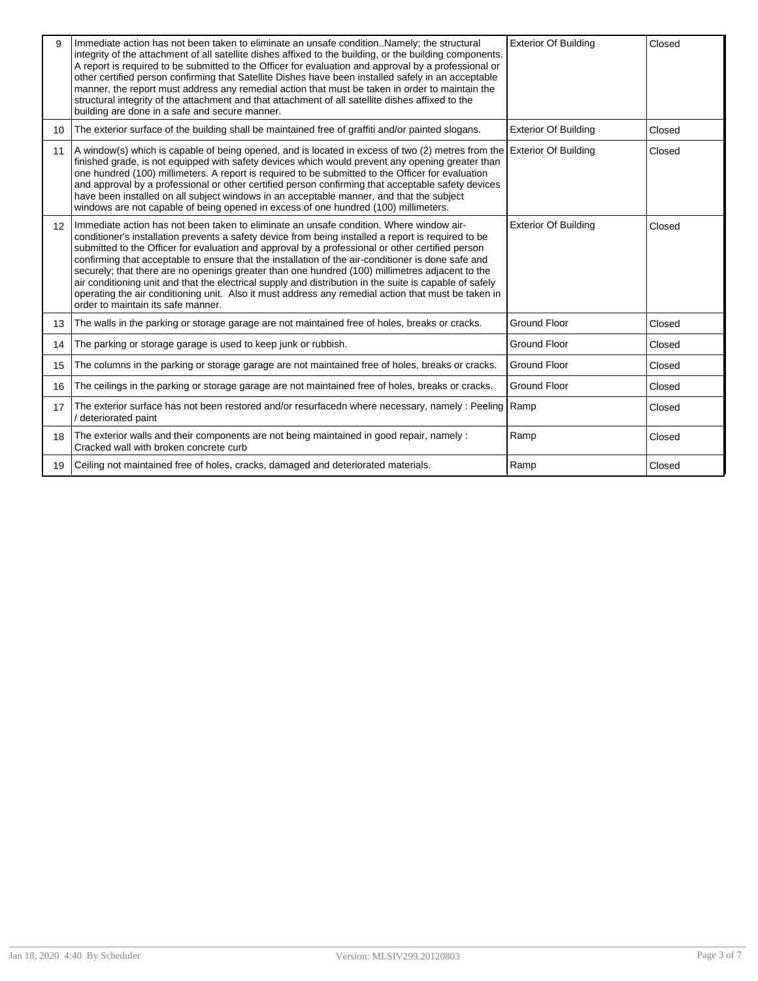| 9               | Immediate action has not been taken to eliminate an unsafe conditionNamely; the structural<br>integrity of the attachment of all satellite dishes affixed to the building, or the building components.<br>A report is required to be submitted to the Officer for evaluation and approval by a professional or<br>other certified person confirming that Satellite Dishes have been installed safely in an acceptable<br>manner, the report must address any remedial action that must be taken in order to maintain the<br>structural integrity of the attachment and that attachment of all satellite dishes affixed to the<br>building are done in a safe and secure manner.                                                                                     | <b>Exterior Of Building</b> | Closed |
|-----------------|---------------------------------------------------------------------------------------------------------------------------------------------------------------------------------------------------------------------------------------------------------------------------------------------------------------------------------------------------------------------------------------------------------------------------------------------------------------------------------------------------------------------------------------------------------------------------------------------------------------------------------------------------------------------------------------------------------------------------------------------------------------------|-----------------------------|--------|
| 10 <sup>1</sup> | The exterior surface of the building shall be maintained free of graffiti and/or painted slogans.                                                                                                                                                                                                                                                                                                                                                                                                                                                                                                                                                                                                                                                                   | <b>Exterior Of Building</b> | Closed |
| 11              | A window(s) which is capable of being opened, and is located in excess of two (2) metres from the Exterior Of Building<br>finished grade, is not equipped with safety devices which would prevent any opening greater than<br>one hundred (100) millimeters. A report is required to be submitted to the Officer for evaluation<br>and approval by a professional or other certified person confirming that acceptable safety devices<br>have been installed on all subject windows in an acceptable manner, and that the subject<br>windows are not capable of being opened in excess of one hundred (100) millimeters.                                                                                                                                            |                             | Closed |
| 12 <sup>2</sup> | Immediate action has not been taken to eliminate an unsafe condition. Where window air-<br>conditioner's installation prevents a safety device from being installed a report is required to be<br>submitted to the Officer for evaluation and approval by a professional or other certified person<br>confirming that acceptable to ensure that the installation of the air-conditioner is done safe and<br>securely; that there are no openings greater than one hundred (100) millimetres adjacent to the<br>air conditioning unit and that the electrical supply and distribution in the suite is capable of safely<br>operating the air conditioning unit. Also it must address any remedial action that must be taken in<br>order to maintain its safe manner. | <b>Exterior Of Building</b> | Closed |
| 13              | The walls in the parking or storage garage are not maintained free of holes, breaks or cracks.                                                                                                                                                                                                                                                                                                                                                                                                                                                                                                                                                                                                                                                                      | <b>Ground Floor</b>         | Closed |
| 14              | The parking or storage garage is used to keep junk or rubbish.                                                                                                                                                                                                                                                                                                                                                                                                                                                                                                                                                                                                                                                                                                      | <b>Ground Floor</b>         | Closed |
| 15              | The columns in the parking or storage garage are not maintained free of holes, breaks or cracks.                                                                                                                                                                                                                                                                                                                                                                                                                                                                                                                                                                                                                                                                    | <b>Ground Floor</b>         | Closed |
| 16              | The ceilings in the parking or storage garage are not maintained free of holes, breaks or cracks.                                                                                                                                                                                                                                                                                                                                                                                                                                                                                                                                                                                                                                                                   | <b>Ground Floor</b>         | Closed |
| 17              | The exterior surface has not been restored and/or resurfacedn where necessary, namely : Peeling Ramp<br>/ deteriorated paint                                                                                                                                                                                                                                                                                                                                                                                                                                                                                                                                                                                                                                        |                             | Closed |
| 18              | The exterior walls and their components are not being maintained in good repair, namely :<br>Cracked wall with broken concrete curb                                                                                                                                                                                                                                                                                                                                                                                                                                                                                                                                                                                                                                 | Ramp                        | Closed |
| 19              | Ceiling not maintained free of holes, cracks, damaged and deteriorated materials.                                                                                                                                                                                                                                                                                                                                                                                                                                                                                                                                                                                                                                                                                   | Ramp                        | Closed |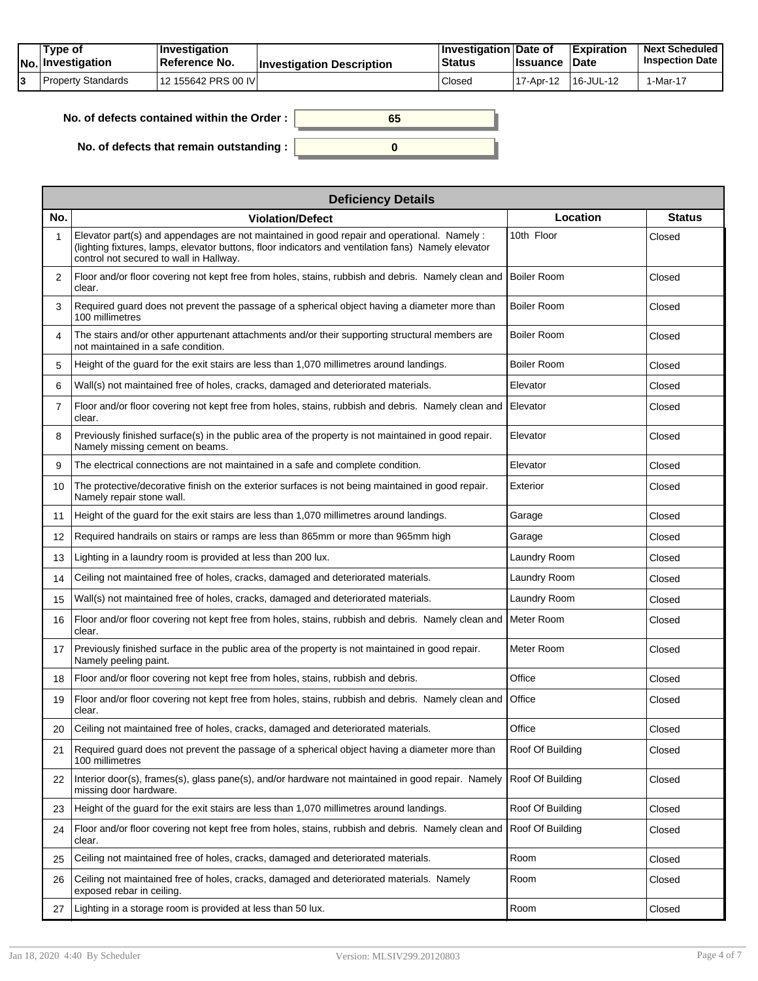| Type of<br> No. Investigation | <b>∣Investigation</b><br><b>Reference No.</b> | <b>Investigation Description</b> | <b>∣Investigation Date of</b><br><b>Status</b> | Issuance    | <b>Expiration</b><br>∣Date | <b>Next Scheduled</b><br><b>Inspection Date I</b> |
|-------------------------------|-----------------------------------------------|----------------------------------|------------------------------------------------|-------------|----------------------------|---------------------------------------------------|
| Property Standards            | 12 155642 PRS 00 IVI                          |                                  | Closed                                         | ' 17-Apr-12 | 16-JUL-12                  | $I$ -Mar-17                                       |

**No. of defects contained within the Order :**

**No. of defects that remain outstanding :**

**0**

**65**

|     | <b>Deficiency Details</b>                                                                                                                                                                                                                    |                    |               |  |  |  |  |  |
|-----|----------------------------------------------------------------------------------------------------------------------------------------------------------------------------------------------------------------------------------------------|--------------------|---------------|--|--|--|--|--|
| No. | <b>Violation/Defect</b>                                                                                                                                                                                                                      | Location           | <b>Status</b> |  |  |  |  |  |
|     | Elevator part(s) and appendages are not maintained in good repair and operational. Namely:<br>(lighting fixtures, lamps, elevator buttons, floor indicators and ventilation fans) Namely elevator<br>control not secured to wall in Hallway. | 10th Floor         | Closed        |  |  |  |  |  |
| 2   | Floor and/or floor covering not kept free from holes, stains, rubbish and debris. Namely clean and<br>clear.                                                                                                                                 | Boiler Room        | Closed        |  |  |  |  |  |
| 3   | Required guard does not prevent the passage of a spherical object having a diameter more than<br>100 millimetres                                                                                                                             | <b>Boiler Room</b> | Closed        |  |  |  |  |  |
| 4   | The stairs and/or other appurtenant attachments and/or their supporting structural members are<br>not maintained in a safe condition.                                                                                                        | <b>Boiler Room</b> | Closed        |  |  |  |  |  |
| 5   | Height of the guard for the exit stairs are less than 1,070 millimetres around landings.                                                                                                                                                     | <b>Boiler Room</b> | Closed        |  |  |  |  |  |
| 6   | Wall(s) not maintained free of holes, cracks, damaged and deteriorated materials.                                                                                                                                                            | Elevator           | Closed        |  |  |  |  |  |
| 7   | Floor and/or floor covering not kept free from holes, stains, rubbish and debris. Namely clean and<br>clear.                                                                                                                                 | <b>I</b> Elevator  | Closed        |  |  |  |  |  |
| 8   | Previously finished surface(s) in the public area of the property is not maintained in good repair.<br>Namely missing cement on beams.                                                                                                       | Elevator           | Closed        |  |  |  |  |  |
| 9   | The electrical connections are not maintained in a safe and complete condition.                                                                                                                                                              | Elevator           | Closed        |  |  |  |  |  |
| 10  | The protective/decorative finish on the exterior surfaces is not being maintained in good repair.<br>Namely repair stone wall.                                                                                                               | Exterior           | Closed        |  |  |  |  |  |
| 11  | Height of the guard for the exit stairs are less than 1,070 millimetres around landings.                                                                                                                                                     | Garage             | Closed        |  |  |  |  |  |
| 12  | Required handrails on stairs or ramps are less than 865mm or more than 965mm high                                                                                                                                                            | Garage             | Closed        |  |  |  |  |  |
| 13  | Lighting in a laundry room is provided at less than 200 lux.                                                                                                                                                                                 | Laundry Room       | Closed        |  |  |  |  |  |
| 14  | Ceiling not maintained free of holes, cracks, damaged and deteriorated materials.                                                                                                                                                            | Laundry Room       | Closed        |  |  |  |  |  |
| 15  | Wall(s) not maintained free of holes, cracks, damaged and deteriorated materials.                                                                                                                                                            | Laundry Room       | Closed        |  |  |  |  |  |
| 16  | Floor and/or floor covering not kept free from holes, stains, rubbish and debris. Namely clean and<br>clear.                                                                                                                                 | Meter Room         | Closed        |  |  |  |  |  |
| 17  | Previously finished surface in the public area of the property is not maintained in good repair.<br>Namely peeling paint.                                                                                                                    | Meter Room         | Closed        |  |  |  |  |  |
| 18  | Floor and/or floor covering not kept free from holes, stains, rubbish and debris.                                                                                                                                                            | Office             | Closed        |  |  |  |  |  |
| 19  | Floor and/or floor covering not kept free from holes, stains, rubbish and debris. Namely clean and<br>clear.                                                                                                                                 | <b>Office</b>      | Closed        |  |  |  |  |  |
| 20  | Ceiling not maintained free of holes, cracks, damaged and deteriorated materials.                                                                                                                                                            | Office             | Closed        |  |  |  |  |  |
| 21  | Required guard does not prevent the passage of a spherical object having a diameter more than<br>100 millimetres                                                                                                                             | Roof Of Building   | Closed        |  |  |  |  |  |
| 22  | Interior door(s), frames(s), glass pane(s), and/or hardware not maintained in good repair. Namely<br>missing door hardware.                                                                                                                  | Roof Of Building   | Closed        |  |  |  |  |  |
| 23  | Height of the guard for the exit stairs are less than 1,070 millimetres around landings.                                                                                                                                                     | Roof Of Building   | Closed        |  |  |  |  |  |
| 24  | Floor and/or floor covering not kept free from holes, stains, rubbish and debris. Namely clean and<br>clear.                                                                                                                                 | Roof Of Building   | Closed        |  |  |  |  |  |
| 25  | Ceiling not maintained free of holes, cracks, damaged and deteriorated materials.                                                                                                                                                            | Room               | Closed        |  |  |  |  |  |
| 26  | Ceiling not maintained free of holes, cracks, damaged and deteriorated materials. Namely<br>exposed rebar in ceiling.                                                                                                                        | Room               | Closed        |  |  |  |  |  |
| 27  | Lighting in a storage room is provided at less than 50 lux.                                                                                                                                                                                  | Room               | Closed        |  |  |  |  |  |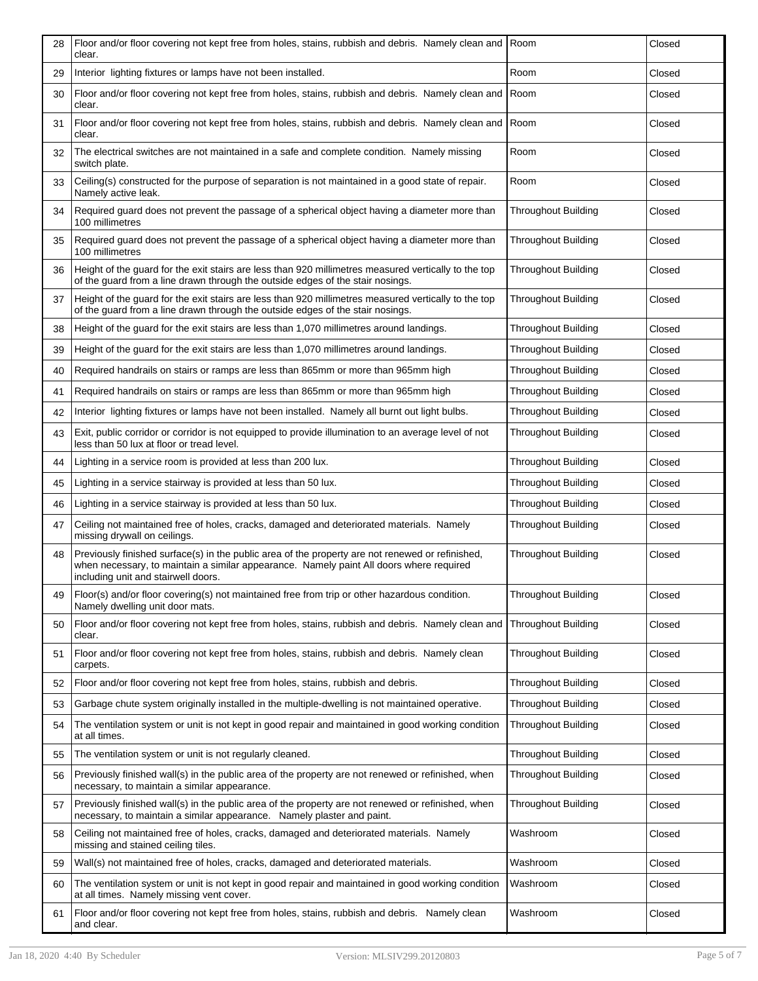| 28 | Floor and/or floor covering not kept free from holes, stains, rubbish and debris. Namely clean and<br>clear.                                                                                                                       | Room                       | Closed |
|----|------------------------------------------------------------------------------------------------------------------------------------------------------------------------------------------------------------------------------------|----------------------------|--------|
| 29 | Interior lighting fixtures or lamps have not been installed.                                                                                                                                                                       | Room                       | Closed |
| 30 | Floor and/or floor covering not kept free from holes, stains, rubbish and debris. Namely clean and<br>clear.                                                                                                                       | Room                       | Closed |
| 31 | Floor and/or floor covering not kept free from holes, stains, rubbish and debris. Namely clean and<br>clear.                                                                                                                       | Room                       | Closed |
| 32 | The electrical switches are not maintained in a safe and complete condition. Namely missing<br>switch plate.                                                                                                                       | Room                       | Closed |
| 33 | Ceiling(s) constructed for the purpose of separation is not maintained in a good state of repair.<br>Namely active leak.                                                                                                           | Room                       | Closed |
| 34 | Required guard does not prevent the passage of a spherical object having a diameter more than<br>100 millimetres                                                                                                                   | <b>Throughout Building</b> | Closed |
| 35 | Required guard does not prevent the passage of a spherical object having a diameter more than<br>100 millimetres                                                                                                                   | <b>Throughout Building</b> | Closed |
| 36 | Height of the guard for the exit stairs are less than 920 millimetres measured vertically to the top<br>of the guard from a line drawn through the outside edges of the stair nosings.                                             | <b>Throughout Building</b> | Closed |
| 37 | Height of the quard for the exit stairs are less than 920 millimetres measured vertically to the top<br>of the guard from a line drawn through the outside edges of the stair nosings.                                             | <b>Throughout Building</b> | Closed |
| 38 | Height of the guard for the exit stairs are less than 1,070 millimetres around landings.                                                                                                                                           | <b>Throughout Building</b> | Closed |
| 39 | Height of the quard for the exit stairs are less than 1,070 millimetres around landings.                                                                                                                                           | <b>Throughout Building</b> | Closed |
| 40 | Required handrails on stairs or ramps are less than 865mm or more than 965mm high                                                                                                                                                  | <b>Throughout Building</b> | Closed |
| 41 | Required handrails on stairs or ramps are less than 865mm or more than 965mm high                                                                                                                                                  | <b>Throughout Building</b> | Closed |
| 42 | Interior lighting fixtures or lamps have not been installed. Namely all burnt out light bulbs.                                                                                                                                     | <b>Throughout Building</b> | Closed |
| 43 | Exit, public corridor or corridor is not equipped to provide illumination to an average level of not<br>less than 50 lux at floor or tread level.                                                                                  | <b>Throughout Building</b> | Closed |
| 44 | Lighting in a service room is provided at less than 200 lux.                                                                                                                                                                       | <b>Throughout Building</b> | Closed |
| 45 | Lighting in a service stairway is provided at less than 50 lux.                                                                                                                                                                    | <b>Throughout Building</b> | Closed |
| 46 | Lighting in a service stairway is provided at less than 50 lux.                                                                                                                                                                    | <b>Throughout Building</b> | Closed |
| 47 | Ceiling not maintained free of holes, cracks, damaged and deteriorated materials. Namely<br>missing drywall on ceilings.                                                                                                           | <b>Throughout Building</b> | Closed |
| 48 | Previously finished surface(s) in the public area of the property are not renewed or refinished.<br>when necessary, to maintain a similar appearance. Namely paint All doors where required<br>including unit and stairwell doors. | <b>Throughout Building</b> | Closed |
| 49 | Floor(s) and/or floor covering(s) not maintained free from trip or other hazardous condition.<br>Namely dwelling unit door mats.                                                                                                   | <b>Throughout Building</b> | Closed |
| 50 | Floor and/or floor covering not kept free from holes, stains, rubbish and debris. Namely clean and<br>clear.                                                                                                                       | <b>Throughout Building</b> | Closed |
| 51 | Floor and/or floor covering not kept free from holes, stains, rubbish and debris. Namely clean<br>carpets.                                                                                                                         | <b>Throughout Building</b> | Closed |
| 52 | Floor and/or floor covering not kept free from holes, stains, rubbish and debris.                                                                                                                                                  | <b>Throughout Building</b> | Closed |
| 53 | Garbage chute system originally installed in the multiple-dwelling is not maintained operative.                                                                                                                                    | <b>Throughout Building</b> | Closed |
| 54 | The ventilation system or unit is not kept in good repair and maintained in good working condition<br>at all times.                                                                                                                | <b>Throughout Building</b> | Closed |
| 55 | The ventilation system or unit is not regularly cleaned.                                                                                                                                                                           | <b>Throughout Building</b> | Closed |
| 56 | Previously finished wall(s) in the public area of the property are not renewed or refinished, when<br>necessary, to maintain a similar appearance.                                                                                 | Throughout Building        | Closed |
| 57 | Previously finished wall(s) in the public area of the property are not renewed or refinished, when<br>necessary, to maintain a similar appearance. Namely plaster and paint.                                                       | <b>Throughout Building</b> | Closed |
| 58 | Ceiling not maintained free of holes, cracks, damaged and deteriorated materials. Namely<br>missing and stained ceiling tiles.                                                                                                     | Washroom                   | Closed |
| 59 | Wall(s) not maintained free of holes, cracks, damaged and deteriorated materials.                                                                                                                                                  | Washroom                   | Closed |
| 60 | The ventilation system or unit is not kept in good repair and maintained in good working condition<br>at all times. Namely missing vent cover.                                                                                     | Washroom                   | Closed |
| 61 | Floor and/or floor covering not kept free from holes, stains, rubbish and debris. Namely clean<br>and clear.                                                                                                                       | Washroom                   | Closed |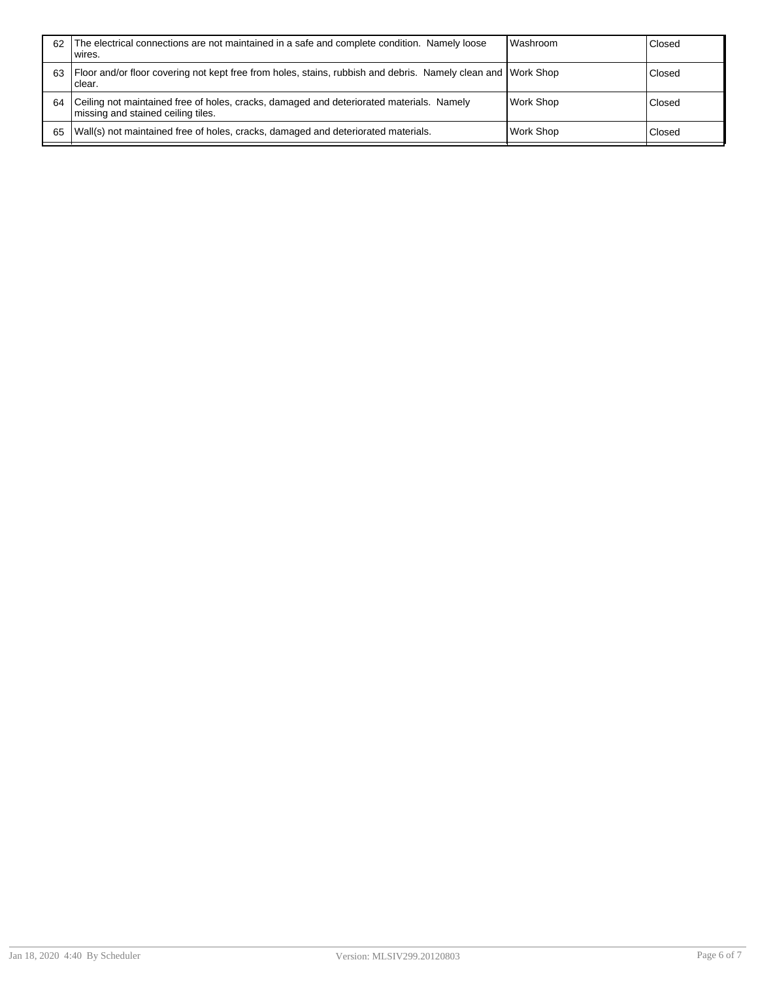| 62 | The electrical connections are not maintained in a safe and complete condition. Namely loose<br>wires.                         | <b>Washroom</b>  | Closed |
|----|--------------------------------------------------------------------------------------------------------------------------------|------------------|--------|
| 63 | Floor and/or floor covering not kept free from holes, stains, rubbish and debris. Namely clean and Work Shop<br>clear.         |                  | Closed |
| 64 | Ceiling not maintained free of holes, cracks, damaged and deteriorated materials. Namely<br>missing and stained ceiling tiles. | Work Shop        | Closed |
| 65 | Wall(s) not maintained free of holes, cracks, damaged and deteriorated materials.                                              | <b>Work Shop</b> | Closed |